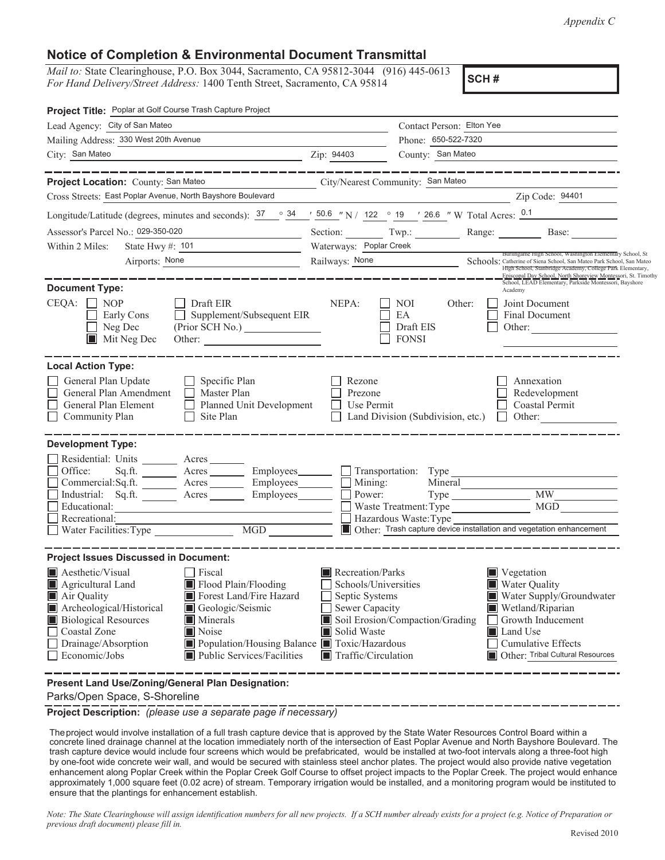*Appendix C*

## **Notice of Completion & Environmental Document Transmittal**

*Mail to:* State Clearinghouse, P.O. Box 3044, Sacramento, CA 95812-3044 (916) 445-0613 *For Hand Delivery/Street Address:* 1400 Tenth Street, Sacramento, CA 95814

**SCH #**

| Project Title: Poplar at Golf Course Trash Capture Project                                                                                                                                                                                                                                                                                                |                                                                                                                                                                                                                                                                                                                                                               |
|-----------------------------------------------------------------------------------------------------------------------------------------------------------------------------------------------------------------------------------------------------------------------------------------------------------------------------------------------------------|---------------------------------------------------------------------------------------------------------------------------------------------------------------------------------------------------------------------------------------------------------------------------------------------------------------------------------------------------------------|
| Lead Agency: City of San Mateo<br>the control of the control of the control of the control of the control of the control of                                                                                                                                                                                                                               | Contact Person: Elton Yee                                                                                                                                                                                                                                                                                                                                     |
| Mailing Address: 330 West 20th Avenue                                                                                                                                                                                                                                                                                                                     | Phone: 650-522-7320                                                                                                                                                                                                                                                                                                                                           |
| City: San Mateo<br><u> 1990 - Johann Barbara, martin amerikan basar da</u>                                                                                                                                                                                                                                                                                | County: San Mateo<br>Zip: 94403                                                                                                                                                                                                                                                                                                                               |
| ________________<br>Project Location: County: San Mateo                                                                                                                                                                                                                                                                                                   | _______________<br>City/Nearest Community: San Mateo                                                                                                                                                                                                                                                                                                          |
| Cross Streets: East Poplar Avenue, North Bayshore Boulevard                                                                                                                                                                                                                                                                                               | Zip Code: 94401                                                                                                                                                                                                                                                                                                                                               |
|                                                                                                                                                                                                                                                                                                                                                           | Longitude/Latitude (degrees, minutes and seconds): $\frac{37}{2}$ $\frac{34}{2}$ $\frac{150.6}{2}$ N / 122 $\degree$ 19 $\degree$ 19 $\degree$ 26.6 $\degree$ W Total Acres: $\frac{0.1}{2}$                                                                                                                                                                  |
| Assessor's Parcel No.: 029-350-020                                                                                                                                                                                                                                                                                                                        | Section: Twp.: Range: Base:                                                                                                                                                                                                                                                                                                                                   |
| State Hwy #: $101$<br>Within 2 Miles:                                                                                                                                                                                                                                                                                                                     | Waterways: Poplar Creek                                                                                                                                                                                                                                                                                                                                       |
| Airports: None<br><u> 1989 - Andrea Andrew Maria III, poet</u>                                                                                                                                                                                                                                                                                            | Burlingame High School, Washington Elementary School, St.<br>Railways: None<br>Schools: Catherine of Siena School, San Mateo Park School, San Mateo                                                                                                                                                                                                           |
| <b>Document Type:</b>                                                                                                                                                                                                                                                                                                                                     | High School, Stanbridge Academy, College Park Elementary,<br>Episcopal Day School, North Shoreview Montessori, St. Timothy<br>School, LEAD Elementary, Parkside Montessori, Bayshore<br>Academy                                                                                                                                                               |
| $CEQA: \Box NOP$<br>Draft EIR<br>Supplement/Subsequent EIR<br>Early Cons<br>$\perp$<br>Neg Dec<br>(Prior SCH No.) _______________<br>$\blacksquare$ Mit Neg Dec<br>Other:                                                                                                                                                                                 | Joint Document<br>NEPA:<br>NOI<br>Other:<br>EA<br>Final Document<br>Draft EIS<br>Other:<br><b>FONSI</b>                                                                                                                                                                                                                                                       |
| <b>Local Action Type:</b>                                                                                                                                                                                                                                                                                                                                 |                                                                                                                                                                                                                                                                                                                                                               |
| General Plan Update<br>Specific Plan<br>$\perp$<br>General Plan Amendment<br>Master Plan<br>$\perp$<br>General Plan Element<br>Planned Unit Development<br>Site Plan<br>$\Box$ Community Plan                                                                                                                                                             | Rezone<br>Annexation<br>Prezone<br>Redevelopment<br>Use Permit<br>Coastal Permit<br>Land Division (Subdivision, etc.)<br>$\Box$ Other:                                                                                                                                                                                                                        |
| <b>Development Type:</b><br>Residential: Units _______<br>Acres<br>Office:<br>Acres Employees                                                                                                                                                                                                                                                             |                                                                                                                                                                                                                                                                                                                                                               |
| Sq.fit.<br>Acres Employees<br>Commercial:Sq.ft.                                                                                                                                                                                                                                                                                                           | Mining:<br>Mineral                                                                                                                                                                                                                                                                                                                                            |
| Industrial: Sq.ft. _______ Acres ________ Employees_______                                                                                                                                                                                                                                                                                                | Power:<br>MGD<br>Waste Treatment: Type                                                                                                                                                                                                                                                                                                                        |
| Recreational:                                                                                                                                                                                                                                                                                                                                             | Hazardous Waste: Type                                                                                                                                                                                                                                                                                                                                         |
| $\overline{MGD}$<br>Water Facilities: Type<br>$\mathsf{L}$                                                                                                                                                                                                                                                                                                | Other: Trash capture device installation and vegetation enhancement                                                                                                                                                                                                                                                                                           |
| <b>Project Issues Discussed in Document:</b>                                                                                                                                                                                                                                                                                                              |                                                                                                                                                                                                                                                                                                                                                               |
| Aesthetic/Visual<br>Fiscal<br>Flood Plain/Flooding<br>Agricultural Land<br>Forest Land/Fire Hazard<br>Air Quality<br>Archeological/Historical<br>Geologic/Seismic<br>Minerals<br><b>Biological Resources</b><br>Coastal Zone<br>Noise<br>Population/Housing Balance Toxic/Hazardous<br>Drainage/Absorption<br>Public Services/Facilities<br>Economic/Jobs | Recreation/Parks<br>$\blacksquare$ Vegetation<br>Water Quality<br>Schools/Universities<br>Water Supply/Groundwater<br>Septic Systems<br>Wetland/Riparian<br>Sewer Capacity<br>Soil Erosion/Compaction/Grading<br>Growth Inducement<br>Solid Waste<br>Land Use<br>Cumulative Effects<br>Other: Tribal Cultural Resources<br>$\blacksquare$ Traffic/Circulation |

**Present Land Use/Zoning/General Plan Designation:**

Parks/Open Space, S-Shoreline

**Project Description:** *(please use a separate page if necessary)*

Theproject would involve installation of a full trash capture device that is approved by the State Water Resources Control Board within a concrete lined drainage channel at the location immediately north of the intersection of East Poplar Avenue and North Bayshore Boulevard. The trash capture device would include four screens which would be prefabricated, would be installed at two-foot intervals along a three-foot high by one-foot wide concrete weir wall, and would be secured with stainless steel anchor plates. The project would also provide native vegetation enhancement along Poplar Creek within the Poplar Creek Golf Course to offset project impacts to the Poplar Creek. The project would enhance approximately 1,000 square feet (0.02 acre) of stream. Temporary irrigation would be installed, and a monitoring program would be instituted to ensure that the plantings for enhancement establish.

Note: The State Clearinghouse will assign identification numbers for all new projects. If a SCH number already exists for a project (e.g. Notice of Preparation or *previous draft document) please fill in.*